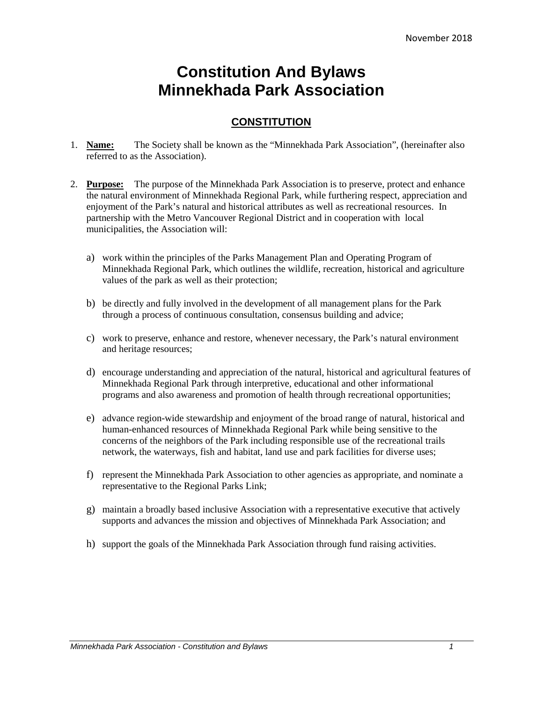# **Constitution And Bylaws Minnekhada Park Association**

# **CONSTITUTION**

- 1. **Name:** The Society shall be known as the "Minnekhada Park Association", (hereinafter also referred to as the Association).
- 2. **Purpose:** The purpose of the Minnekhada Park Association is to preserve, protect and enhance the natural environment of Minnekhada Regional Park, while furthering respect, appreciation and enjoyment of the Park's natural and historical attributes as well as recreational resources. In partnership with the Metro Vancouver Regional District and in cooperation with local municipalities, the Association will:
	- a) work within the principles of the Parks Management Plan and Operating Program of Minnekhada Regional Park, which outlines the wildlife, recreation, historical and agriculture values of the park as well as their protection;
	- b) be directly and fully involved in the development of all management plans for the Park through a process of continuous consultation, consensus building and advice;
	- c) work to preserve, enhance and restore, whenever necessary, the Park's natural environment and heritage resources;
	- d) encourage understanding and appreciation of the natural, historical and agricultural features of Minnekhada Regional Park through interpretive, educational and other informational programs and also awareness and promotion of health through recreational opportunities;
	- e) advance region-wide stewardship and enjoyment of the broad range of natural, historical and human-enhanced resources of Minnekhada Regional Park while being sensitive to the concerns of the neighbors of the Park including responsible use of the recreational trails network, the waterways, fish and habitat, land use and park facilities for diverse uses;
	- f) represent the Minnekhada Park Association to other agencies as appropriate, and nominate a representative to the Regional Parks Link;
	- g) maintain a broadly based inclusive Association with a representative executive that actively supports and advances the mission and objectives of Minnekhada Park Association; and
	- h) support the goals of the Minnekhada Park Association through fund raising activities.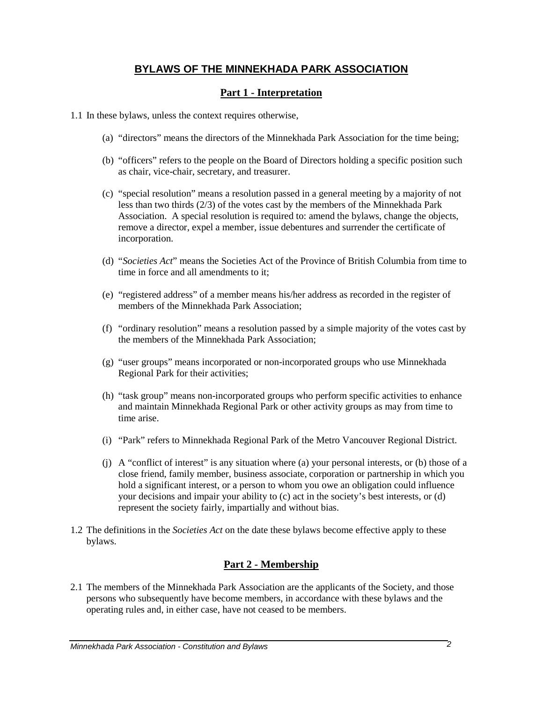# **BYLAWS OF THE MINNEKHADA PARK ASSOCIATION**

# **Part 1 - Interpretation**

- 1.1 In these bylaws, unless the context requires otherwise,
	- (a) "directors" means the directors of the Minnekhada Park Association for the time being;
	- (b) "officers" refers to the people on the Board of Directors holding a specific position such as chair, vice-chair, secretary, and treasurer.
	- (c) "special resolution" means a resolution passed in a general meeting by a majority of not less than two thirds (2/3) of the votes cast by the members of the Minnekhada Park Association. A special resolution is required to: amend the bylaws, change the objects, remove a director, expel a member, issue debentures and surrender the certificate of incorporation.
	- (d) "*Societies Act*" means the Societies Act of the Province of British Columbia from time to time in force and all amendments to it.
	- (e) "registered address" of a member means his/her address as recorded in the register of members of the Minnekhada Park Association;
	- (f) "ordinary resolution" means a resolution passed by a simple majority of the votes cast by the members of the Minnekhada Park Association;
	- (g) "user groups" means incorporated or non-incorporated groups who use Minnekhada Regional Park for their activities;
	- (h) "task group" means non-incorporated groups who perform specific activities to enhance and maintain Minnekhada Regional Park or other activity groups as may from time to time arise.
	- (i) "Park" refers to Minnekhada Regional Park of the Metro Vancouver Regional District.
	- (j) A "conflict of interest" is any situation where (a) your personal interests, or (b) those of a close friend, family member, business associate, corporation or partnership in which you hold a significant interest, or a person to whom you owe an obligation could influence your decisions and impair your ability to (c) act in the society's best interests, or (d) represent the society fairly, impartially and without bias.
- 1.2 The definitions in the *Societies Act* on the date these bylaws become effective apply to these bylaws.

# **Part 2 - Membership**

2.1 The members of the Minnekhada Park Association are the applicants of the Society, and those persons who subsequently have become members, in accordance with these bylaws and the operating rules and, in either case, have not ceased to be members.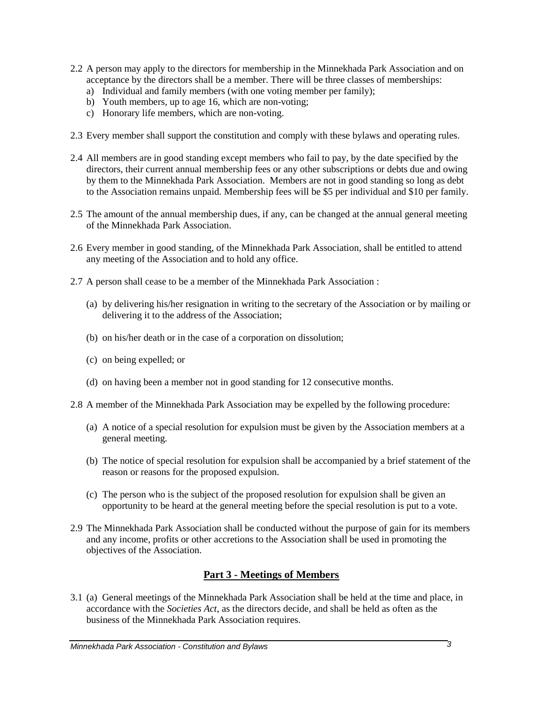- 2.2 A person may apply to the directors for membership in the Minnekhada Park Association and on acceptance by the directors shall be a member. There will be three classes of memberships:
	- a) Individual and family members (with one voting member per family);
	- b) Youth members, up to age 16, which are non-voting;
	- c) Honorary life members, which are non-voting.
- 2.3 Every member shall support the constitution and comply with these bylaws and operating rules.
- 2.4 All members are in good standing except members who fail to pay, by the date specified by the directors, their current annual membership fees or any other subscriptions or debts due and owing by them to the Minnekhada Park Association. Members are not in good standing so long as debt to the Association remains unpaid. Membership fees will be \$5 per individual and \$10 per family.
- 2.5 The amount of the annual membership dues, if any, can be changed at the annual general meeting of the Minnekhada Park Association.
- 2.6 Every member in good standing, of the Minnekhada Park Association, shall be entitled to attend any meeting of the Association and to hold any office.
- 2.7 A person shall cease to be a member of the Minnekhada Park Association :
	- (a) by delivering his/her resignation in writing to the secretary of the Association or by mailing or delivering it to the address of the Association;
	- (b) on his/her death or in the case of a corporation on dissolution;
	- (c) on being expelled; or
	- (d) on having been a member not in good standing for 12 consecutive months.
- 2.8 A member of the Minnekhada Park Association may be expelled by the following procedure:
	- (a) A notice of a special resolution for expulsion must be given by the Association members at a general meeting.
	- (b) The notice of special resolution for expulsion shall be accompanied by a brief statement of the reason or reasons for the proposed expulsion.
	- (c) The person who is the subject of the proposed resolution for expulsion shall be given an opportunity to be heard at the general meeting before the special resolution is put to a vote.
- 2.9 The Minnekhada Park Association shall be conducted without the purpose of gain for its members and any income, profits or other accretions to the Association shall be used in promoting the objectives of the Association.

# **Part 3 - Meetings of Members**

3.1 (a) General meetings of the Minnekhada Park Association shall be held at the time and place, in accordance with the *Societies Act*, as the directors decide, and shall be held as often as the business of the Minnekhada Park Association requires.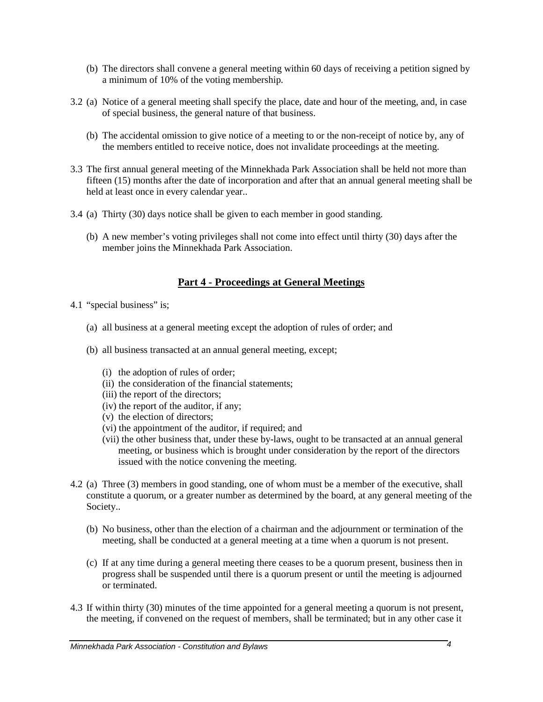- (b) The directors shall convene a general meeting within 60 days of receiving a petition signed by a minimum of 10% of the voting membership.
- 3.2 (a) Notice of a general meeting shall specify the place, date and hour of the meeting, and, in case of special business, the general nature of that business.
	- (b) The accidental omission to give notice of a meeting to or the non-receipt of notice by, any of the members entitled to receive notice, does not invalidate proceedings at the meeting.
- 3.3 The first annual general meeting of the Minnekhada Park Association shall be held not more than fifteen (15) months after the date of incorporation and after that an annual general meeting shall be held at least once in every calendar year..
- 3.4 (a) Thirty (30) days notice shall be given to each member in good standing.
	- (b) A new member's voting privileges shall not come into effect until thirty (30) days after the member joins the Minnekhada Park Association.

# **Part 4 - Proceedings at General Meetings**

- 4.1 "special business" is;
	- (a) all business at a general meeting except the adoption of rules of order; and
	- (b) all business transacted at an annual general meeting, except;
		- (i) the adoption of rules of order;
		- (ii) the consideration of the financial statements;
		- (iii) the report of the directors;
		- (iv) the report of the auditor, if any;
		- (v) the election of directors;
		- (vi) the appointment of the auditor, if required; and
		- (vii) the other business that, under these by-laws, ought to be transacted at an annual general meeting, or business which is brought under consideration by the report of the directors issued with the notice convening the meeting.
- 4.2 (a) Three (3) members in good standing, one of whom must be a member of the executive, shall constitute a quorum, or a greater number as determined by the board, at any general meeting of the Society..
	- (b) No business, other than the election of a chairman and the adjournment or termination of the meeting, shall be conducted at a general meeting at a time when a quorum is not present.
	- (c) If at any time during a general meeting there ceases to be a quorum present, business then in progress shall be suspended until there is a quorum present or until the meeting is adjourned or terminated.
- 4.3 If within thirty (30) minutes of the time appointed for a general meeting a quorum is not present, the meeting, if convened on the request of members, shall be terminated; but in any other case it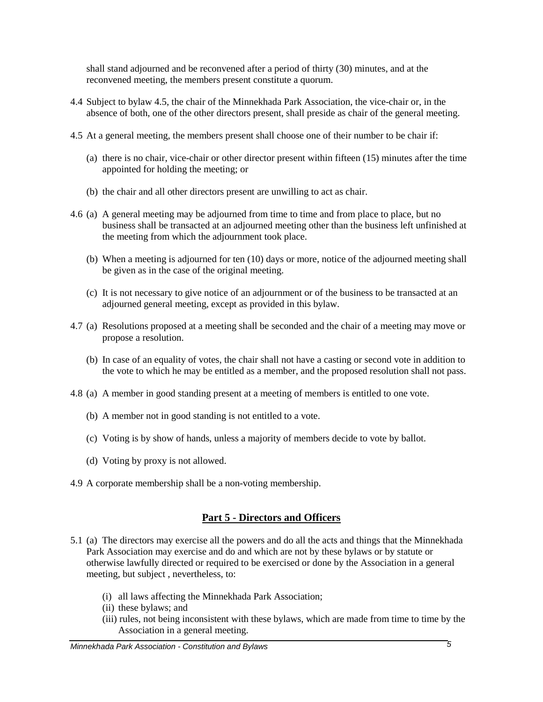shall stand adjourned and be reconvened after a period of thirty (30) minutes, and at the reconvened meeting, the members present constitute a quorum.

- 4.4 Subject to bylaw 4.5, the chair of the Minnekhada Park Association, the vice-chair or, in the absence of both, one of the other directors present, shall preside as chair of the general meeting.
- 4.5 At a general meeting, the members present shall choose one of their number to be chair if:
	- (a) there is no chair, vice-chair or other director present within fifteen (15) minutes after the time appointed for holding the meeting; or
	- (b) the chair and all other directors present are unwilling to act as chair.
- 4.6 (a) A general meeting may be adjourned from time to time and from place to place, but no business shall be transacted at an adjourned meeting other than the business left unfinished at the meeting from which the adjournment took place.
	- (b) When a meeting is adjourned for ten (10) days or more, notice of the adjourned meeting shall be given as in the case of the original meeting.
	- (c) It is not necessary to give notice of an adjournment or of the business to be transacted at an adjourned general meeting, except as provided in this bylaw.
- 4.7 (a) Resolutions proposed at a meeting shall be seconded and the chair of a meeting may move or propose a resolution.
	- (b) In case of an equality of votes, the chair shall not have a casting or second vote in addition to the vote to which he may be entitled as a member, and the proposed resolution shall not pass.
- 4.8 (a) A member in good standing present at a meeting of members is entitled to one vote.
	- (b) A member not in good standing is not entitled to a vote.
	- (c) Voting is by show of hands, unless a majority of members decide to vote by ballot.
	- (d) Voting by proxy is not allowed.
- 4.9 A corporate membership shall be a non-voting membership.

## **Part 5 - Directors and Officers**

- 5.1 (a) The directors may exercise all the powers and do all the acts and things that the Minnekhada Park Association may exercise and do and which are not by these bylaws or by statute or otherwise lawfully directed or required to be exercised or done by the Association in a general meeting, but subject , nevertheless, to:
	- (i) all laws affecting the Minnekhada Park Association;
	- (ii) these bylaws; and
	- (iii) rules, not being inconsistent with these bylaws, which are made from time to time by the Association in a general meeting.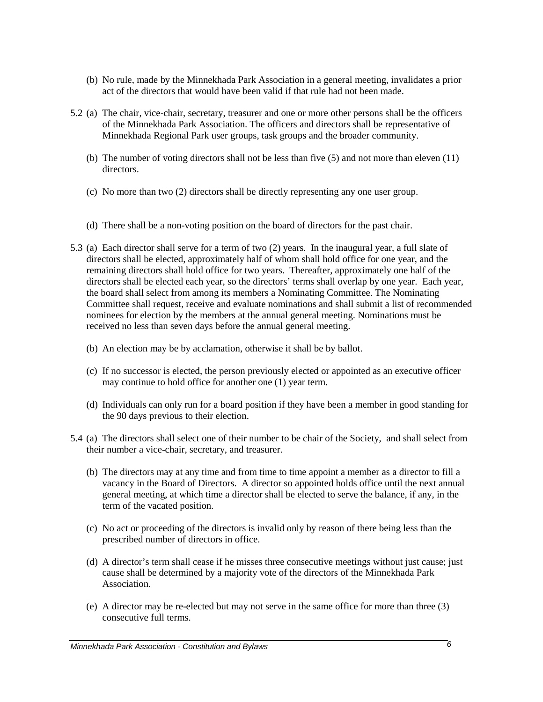- (b) No rule, made by the Minnekhada Park Association in a general meeting, invalidates a prior act of the directors that would have been valid if that rule had not been made.
- 5.2 (a) The chair, vice-chair, secretary, treasurer and one or more other persons shall be the officers of the Minnekhada Park Association. The officers and directors shall be representative of Minnekhada Regional Park user groups, task groups and the broader community.
	- (b) The number of voting directors shall not be less than five (5) and not more than eleven (11) directors.
	- (c) No more than two (2) directors shall be directly representing any one user group.
	- (d) There shall be a non-voting position on the board of directors for the past chair.
- 5.3 (a) Each director shall serve for a term of two (2) years. In the inaugural year, a full slate of directors shall be elected, approximately half of whom shall hold office for one year, and the remaining directors shall hold office for two years. Thereafter, approximately one half of the directors shall be elected each year, so the directors' terms shall overlap by one year. Each year, the board shall select from among its members a Nominating Committee. The Nominating Committee shall request, receive and evaluate nominations and shall submit a list of recommended nominees for election by the members at the annual general meeting. Nominations must be received no less than seven days before the annual general meeting.
	- (b) An election may be by acclamation, otherwise it shall be by ballot.
	- (c) If no successor is elected, the person previously elected or appointed as an executive officer may continue to hold office for another one (1) year term.
	- (d) Individuals can only run for a board position if they have been a member in good standing for the 90 days previous to their election.
- 5.4 (a) The directors shall select one of their number to be chair of the Society, and shall select from their number a vice-chair, secretary, and treasurer.
	- (b) The directors may at any time and from time to time appoint a member as a director to fill a vacancy in the Board of Directors. A director so appointed holds office until the next annual general meeting, at which time a director shall be elected to serve the balance, if any, in the term of the vacated position.
	- (c) No act or proceeding of the directors is invalid only by reason of there being less than the prescribed number of directors in office.
	- (d) A director's term shall cease if he misses three consecutive meetings without just cause; just cause shall be determined by a majority vote of the directors of the Minnekhada Park Association.
	- (e) A director may be re-elected but may not serve in the same office for more than three (3) consecutive full terms.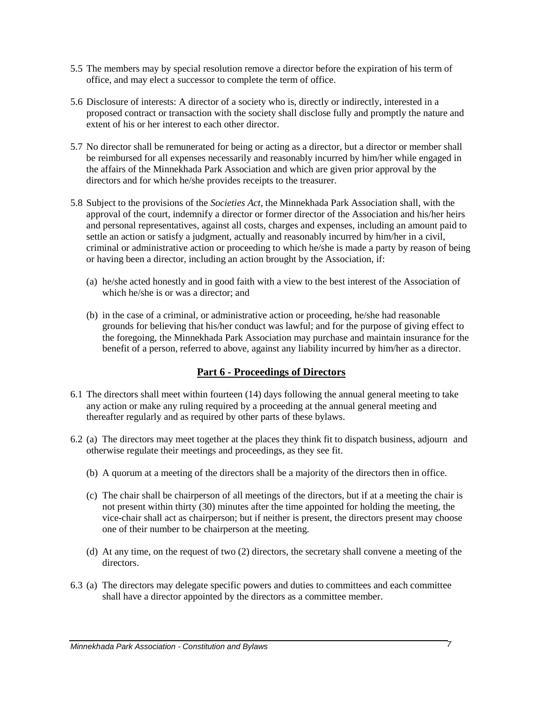- 5.5 The members may by special resolution remove a director before the expiration of his term of office, and may elect a successor to complete the term of office.
- 5.6 Disclosure of interests: A director of a society who is, directly or indirectly, interested in a proposed contract or transaction with the society shall disclose fully and promptly the nature and extent of his or her interest to each other director.
- 5.7 No director shall be remunerated for being or acting as a director, but a director or member shall be reimbursed for all expenses necessarily and reasonably incurred by him/her while engaged in the affairs of the Minnekhada Park Association and which are given prior approval by the directors and for which he/she provides receipts to the treasurer.
- 5.8 Subject to the provisions of the *Societies Act*, the Minnekhada Park Association shall, with the approval of the court, indemnify a director or former director of the Association and his/her heirs and personal representatives, against all costs, charges and expenses, including an amount paid to settle an action or satisfy a judgment, actually and reasonably incurred by him/her in a civil, criminal or administrative action or proceeding to which he/she is made a party by reason of being or having been a director, including an action brought by the Association, if:
	- (a) he/she acted honestly and in good faith with a view to the best interest of the Association of which he/she is or was a director; and
	- (b) in the case of a criminal, or administrative action or proceeding, he/she had reasonable grounds for believing that his/her conduct was lawful; and for the purpose of giving effect to the foregoing, the Minnekhada Park Association may purchase and maintain insurance for the benefit of a person, referred to above, against any liability incurred by him/her as a director.

## **Part 6 - Proceedings of Directors**

- 6.1 The directors shall meet within fourteen (14) days following the annual general meeting to take any action or make any ruling required by a proceeding at the annual general meeting and thereafter regularly and as required by other parts of these bylaws.
- 6.2 (a) The directors may meet together at the places they think fit to dispatch business, adjourn and otherwise regulate their meetings and proceedings, as they see fit.
	- (b) A quorum at a meeting of the directors shall be a majority of the directors then in office.
	- (c) The chair shall be chairperson of all meetings of the directors, but if at a meeting the chair is not present within thirty (30) minutes after the time appointed for holding the meeting, the vice-chair shall act as chairperson; but if neither is present, the directors present may choose one of their number to be chairperson at the meeting.
	- (d) At any time, on the request of two (2) directors, the secretary shall convene a meeting of the directors.
- 6.3 (a) The directors may delegate specific powers and duties to committees and each committee shall have a director appointed by the directors as a committee member.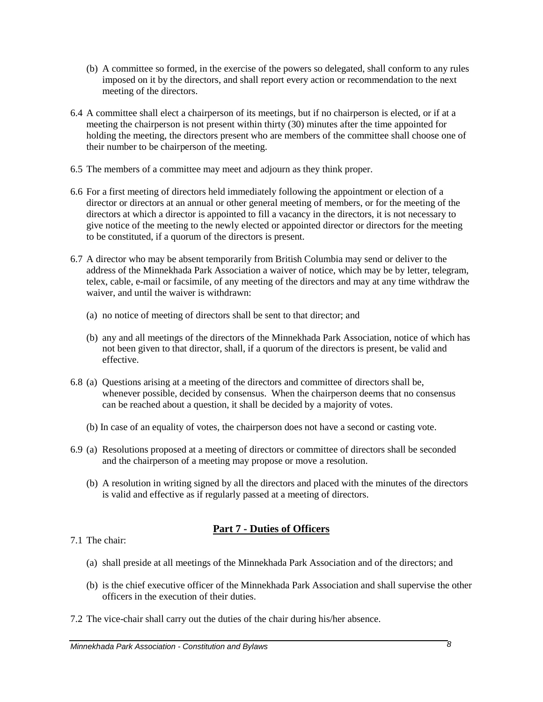- (b) A committee so formed, in the exercise of the powers so delegated, shall conform to any rules imposed on it by the directors, and shall report every action or recommendation to the next meeting of the directors.
- 6.4 A committee shall elect a chairperson of its meetings, but if no chairperson is elected, or if at a meeting the chairperson is not present within thirty (30) minutes after the time appointed for holding the meeting, the directors present who are members of the committee shall choose one of their number to be chairperson of the meeting.
- 6.5 The members of a committee may meet and adjourn as they think proper.
- 6.6 For a first meeting of directors held immediately following the appointment or election of a director or directors at an annual or other general meeting of members, or for the meeting of the directors at which a director is appointed to fill a vacancy in the directors, it is not necessary to give notice of the meeting to the newly elected or appointed director or directors for the meeting to be constituted, if a quorum of the directors is present.
- 6.7 A director who may be absent temporarily from British Columbia may send or deliver to the address of the Minnekhada Park Association a waiver of notice, which may be by letter, telegram, telex, cable, e-mail or facsimile, of any meeting of the directors and may at any time withdraw the waiver, and until the waiver is withdrawn:
	- (a) no notice of meeting of directors shall be sent to that director; and
	- (b) any and all meetings of the directors of the Minnekhada Park Association, notice of which has not been given to that director, shall, if a quorum of the directors is present, be valid and effective.
- 6.8 (a) Questions arising at a meeting of the directors and committee of directors shall be, whenever possible, decided by consensus. When the chairperson deems that no consensus can be reached about a question, it shall be decided by a majority of votes.
	- (b) In case of an equality of votes, the chairperson does not have a second or casting vote.
- 6.9 (a) Resolutions proposed at a meeting of directors or committee of directors shall be seconded and the chairperson of a meeting may propose or move a resolution.
	- (b) A resolution in writing signed by all the directors and placed with the minutes of the directors is valid and effective as if regularly passed at a meeting of directors.

# **Part 7 - Duties of Officers**

- 7.1 The chair:
	- (a) shall preside at all meetings of the Minnekhada Park Association and of the directors; and
	- (b) is the chief executive officer of the Minnekhada Park Association and shall supervise the other officers in the execution of their duties.
- 7.2 The vice-chair shall carry out the duties of the chair during his/her absence.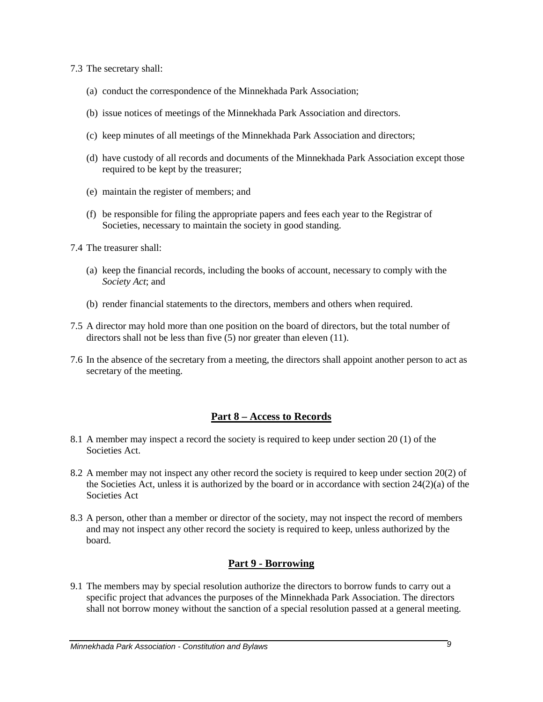- 7.3 The secretary shall:
	- (a) conduct the correspondence of the Minnekhada Park Association;
	- (b) issue notices of meetings of the Minnekhada Park Association and directors.
	- (c) keep minutes of all meetings of the Minnekhada Park Association and directors;
	- (d) have custody of all records and documents of the Minnekhada Park Association except those required to be kept by the treasurer;
	- (e) maintain the register of members; and
	- (f) be responsible for filing the appropriate papers and fees each year to the Registrar of Societies, necessary to maintain the society in good standing.
- 7.4 The treasurer shall:
	- (a) keep the financial records, including the books of account, necessary to comply with the *Society Act*; and
	- (b) render financial statements to the directors, members and others when required.
- 7.5 A director may hold more than one position on the board of directors, but the total number of directors shall not be less than five (5) nor greater than eleven (11).
- 7.6 In the absence of the secretary from a meeting, the directors shall appoint another person to act as secretary of the meeting.

# **Part 8 – Access to Records**

- 8.1 A member may inspect a record the society is required to keep under section 20 (1) of the Societies Act.
- 8.2 A member may not inspect any other record the society is required to keep under section 20(2) of the Societies Act, unless it is authorized by the board or in accordance with section  $24(2)(a)$  of the Societies Act
- 8.3 A person, other than a member or director of the society, may not inspect the record of members and may not inspect any other record the society is required to keep, unless authorized by the board.

# **Part 9 - Borrowing**

9.1 The members may by special resolution authorize the directors to borrow funds to carry out a specific project that advances the purposes of the Minnekhada Park Association. The directors shall not borrow money without the sanction of a special resolution passed at a general meeting.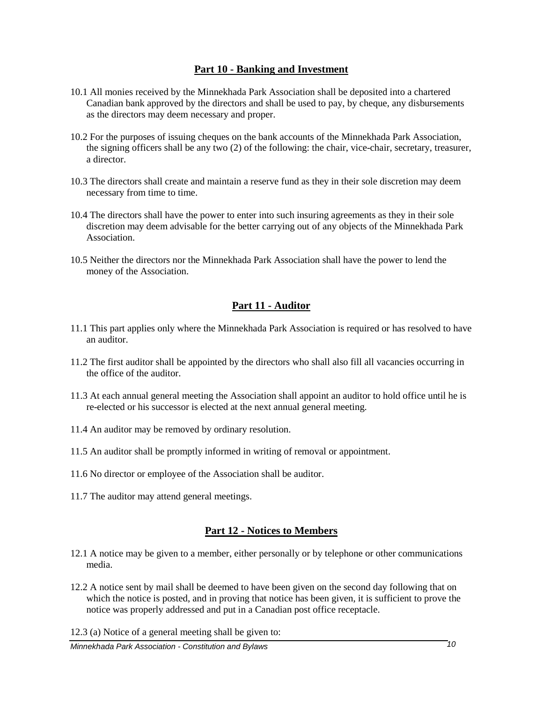## **Part 10 - Banking and Investment**

- 10.1 All monies received by the Minnekhada Park Association shall be deposited into a chartered Canadian bank approved by the directors and shall be used to pay, by cheque, any disbursements as the directors may deem necessary and proper.
- 10.2 For the purposes of issuing cheques on the bank accounts of the Minnekhada Park Association, the signing officers shall be any two (2) of the following: the chair, vice-chair, secretary, treasurer, a director.
- 10.3 The directors shall create and maintain a reserve fund as they in their sole discretion may deem necessary from time to time.
- 10.4 The directors shall have the power to enter into such insuring agreements as they in their sole discretion may deem advisable for the better carrying out of any objects of the Minnekhada Park Association.
- 10.5 Neither the directors nor the Minnekhada Park Association shall have the power to lend the money of the Association.

# **Part 11 - Auditor**

- 11.1 This part applies only where the Minnekhada Park Association is required or has resolved to have an auditor.
- 11.2 The first auditor shall be appointed by the directors who shall also fill all vacancies occurring in the office of the auditor.
- 11.3 At each annual general meeting the Association shall appoint an auditor to hold office until he is re-elected or his successor is elected at the next annual general meeting.
- 11.4 An auditor may be removed by ordinary resolution.
- 11.5 An auditor shall be promptly informed in writing of removal or appointment.
- 11.6 No director or employee of the Association shall be auditor.
- 11.7 The auditor may attend general meetings.

## **Part 12 - Notices to Members**

- 12.1 A notice may be given to a member, either personally or by telephone or other communications media.
- 12.2 A notice sent by mail shall be deemed to have been given on the second day following that on which the notice is posted, and in proving that notice has been given, it is sufficient to prove the notice was properly addressed and put in a Canadian post office receptacle.

12.3 (a) Notice of a general meeting shall be given to: